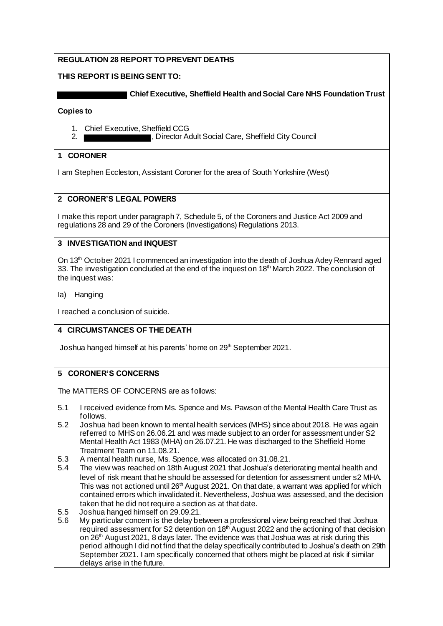# **REGULATION 28 REPORT TO PREVENT DEATHS**

### **THIS REPORT IS BEING SENT TO:**

 **Chief Executive, Sheffield Health and Social Care NHS Foundation Trust**

**Copies to**

- 1. Chief Executive, Sheffield CCG
- 2. **Interest and Social Care, Sheffield City Council** Current Council Council City Council

### **1 CORONER**

I am Stephen Eccleston, Assistant Coroner for the area of South Yorkshire (West)

## **2 CORONER'S LEGAL POWERS**

I make this report under paragraph 7, Schedule 5, of the Coroners and Justice Act 2009 and regulations 28 and 29 of the Coroners (Investigations) Regulations 2013.

## **3 INVESTIGATION and INQUEST**

On 13<sup>th</sup> October 2021 I commenced an investigation into the death of Joshua Adey Rennard aged 33. The investigation concluded at the end of the inquest on 18<sup>th</sup> March 2022. The conclusion of the inquest was:

Ia) Hanging

I reached a conclusion of suicide.

# **4 CIRCUMSTANCES OF THE DEATH**

Joshua hanged himself at his parents' home on 29<sup>th</sup> September 2021.

### **5 CORONER'S CONCERNS**

The MATTERS OF CONCERNS are as follows:

- 5.1 I received evidence from Ms. Spence and Ms. Pawson of the Mental Health Care Trust as follows.
- 5.2 Joshua had been known to mental health services (MHS) since about 2018. He was again referred to MHS on 26.06.21 and was made subject to an order for assessment under S2 Mental Health Act 1983 (MHA) on 26.07.21. He was discharged to the Sheffield Home Treatment Team on 11.08.21.
- 5.3 A mental health nurse, Ms. Spence, was allocated on 31.08.21.
- 5.4 The view was reached on 18th August 2021 that Joshua's deteriorating mental health and level of risk meant that he should be assessed for detention for assessment under s2 MHA. This was not actioned until 26<sup>th</sup> August 2021. On that date, a warrant was applied for which contained errors which invalidated it. Nevertheless, Joshua was assessed, and the decision taken that he did not require a section as at that date.
- 5.5 Joshua hanged himself on 29.09.21.
- 5.6 My particular concern is the delay between a professional view being reached that Joshua required assessment for S2 detention on 18<sup>th</sup> August 2022 and the actioning of that decision on  $26<sup>th</sup>$  August 2021, 8 days later. The evidence was that Joshua was at risk during this period although I did not find that the delay specifically contributed to Joshua's death on 29th September 2021. I am specifically concerned that others might be placed at risk if similar delays arise in the future.